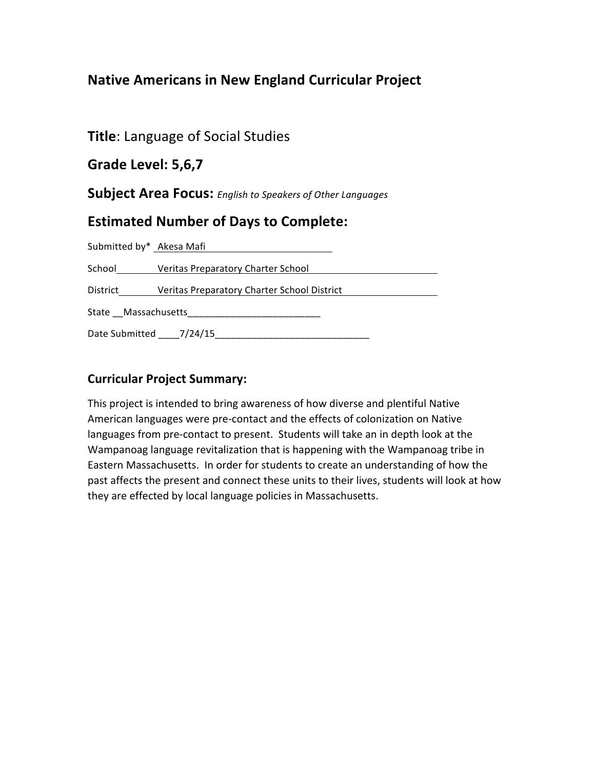# **Native Americans in New England Curricular Project**

**Title: Language of Social Studies** 

**Grade'Level:'5,6,7**

**Subject Area Focus:** *English to Speakers of Other Languages* 

# **Estimated Number of Days to Complete:**

| Submitted by* Akesa Mafi |                                             |
|--------------------------|---------------------------------------------|
| School                   | Veritas Preparatory Charter School          |
| District                 | Veritas Preparatory Charter School District |
|                          |                                             |
| Date Submitted 7/24/15   |                                             |

# **Curricular Project Summary:**

This project is intended to bring awareness of how diverse and plentiful Native American languages were pre-contact and the effects of colonization on Native languages from pre-contact to present. Students will take an in depth look at the Wampanoag language revitalization that is happening with the Wampanoag tribe in Eastern Massachusetts. In order for students to create an understanding of how the past affects the present and connect these units to their lives, students will look at how they are effected by local language policies in Massachusetts.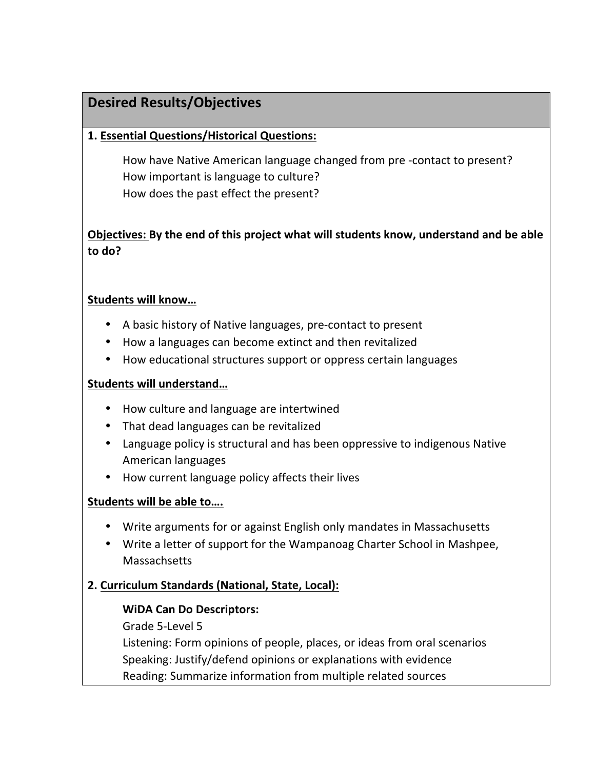# **Desired'Results/Objectives**

## **1.'Essential'Questions/Historical'Questions:'**

How have Native American language changed from pre-contact to present? How important is language to culture? How does the past effect the present?

# **Objectives: By the end of this project what will students know, understand and be able to'do?'**

### **Students'will'know…**

- A basic history of Native languages, pre-contact to present
- How a languages can become extinct and then revitalized
- How educational structures support or oppress certain languages

## **Students'will'understand…**

- How culture and language are intertwined
- That dead languages can be revitalized
- Language policy is structural and has been oppressive to indigenous Native American languages
- How current language policy affects their lives

## Students will be able to....

- Write arguments for or against English only mandates in Massachusetts
- Write a letter of support for the Wampanoag Charter School in Mashpee, Massachsetts

# 2. Curriculum Standards (National, State, Local):

## **WiDA'Can'Do'Descriptors:**

Grade 5-Level 5

Listening: Form opinions of people, places, or ideas from oral scenarios Speaking: Justify/defend opinions or explanations with evidence Reading: Summarize information from multiple related sources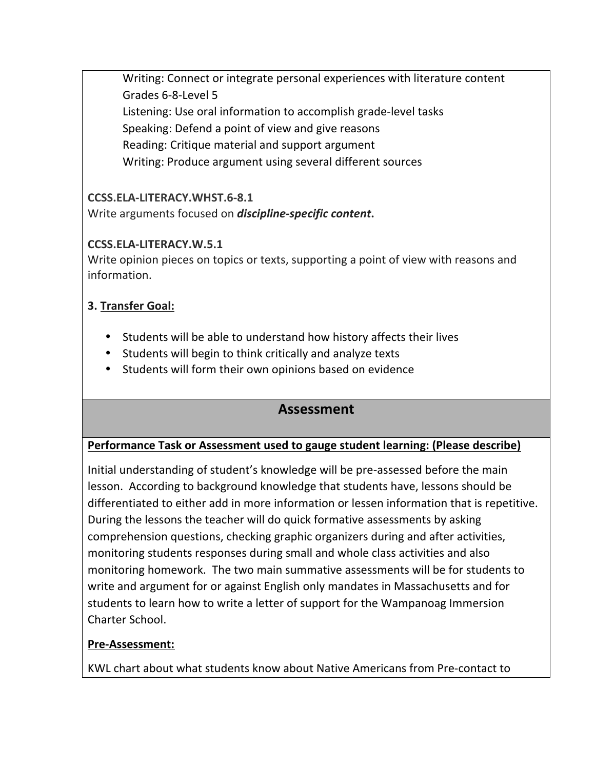Writing: Connect or integrate personal experiences with literature content Grades 6-8-Level 5 Listening: Use oral information to accomplish grade-level tasks Speaking: Defend a point of view and give reasons Reading: Critique material and support argument Writing: Produce argument using several different sources

# **CCSS.ELA-LITERACY.WHST.6-8.1**

Write arguments focused on **discipline-specific content**.

# **CCSS.ELA-LITERACY.W.5.1**

Write opinion pieces on topics or texts, supporting a point of view with reasons and information.

# **3. Transfer'Goal:**

- Students will be able to understand how history affects their lives
- Students will begin to think critically and analyze texts
- Students will form their own opinions based on evidence

# **Assessment**

# Performance Task or Assessment used to gauge student learning: (Please describe)

Initial understanding of student's knowledge will be pre-assessed before the main lesson. According to background knowledge that students have, lessons should be differentiated to either add in more information or lessen information that is repetitive. During the lessons the teacher will do quick formative assessments by asking comprehension questions, checking graphic organizers during and after activities, monitoring students responses during small and whole class activities and also monitoring homework. The two main summative assessments will be for students to write and argument for or against English only mandates in Massachusetts and for students to learn how to write a letter of support for the Wampanoag Immersion Charter School.

# **Pre-Assessment:**

KWL chart about what students know about Native Americans from Pre-contact to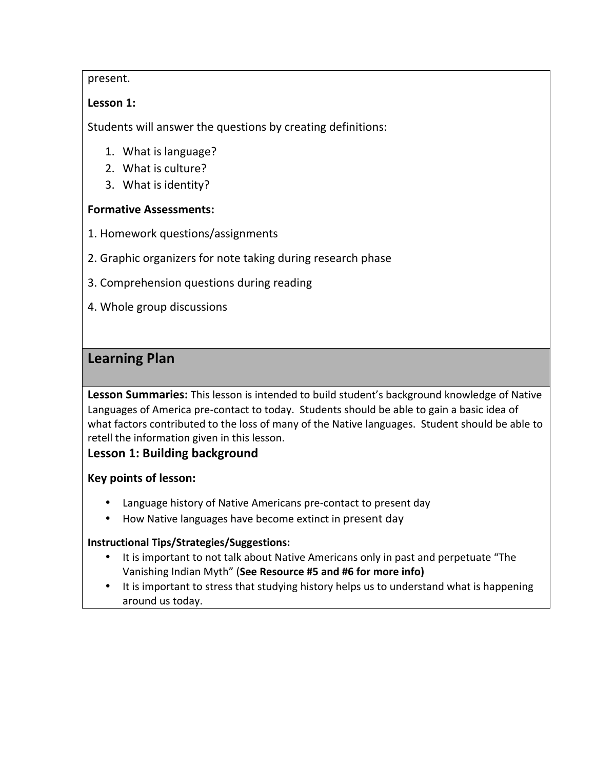### present.

## Lesson 1:

Students will answer the questions by creating definitions:

- 1. What is language?
- 2. What is culture?
- 3. What is identity?

### **Formative Assessments:**

- 1. Homework questions/assignments
- 2. Graphic organizers for note taking during research phase
- 3. Comprehension questions during reading
- 4. Whole group discussions

# **Learning Plan**

Lesson Summaries: This lesson is intended to build student's background knowledge of Native Languages of America pre-contact to today. Students should be able to gain a basic idea of what factors contributed to the loss of many of the Native languages. Student should be able to retell the information given in this lesson.

## **Lesson 1: Building background**

## Key points of lesson:

- Language history of Native Americans pre-contact to present day
- How Native languages have become extinct in present day

#### **Instructional'Tips/Strategies/Suggestions:**

- It is important to not talk about Native Americans only in past and perpetuate "The" Vanishing Indian Myth" (See Resource #5 and #6 for more info)
- It is important to stress that studying history helps us to understand what is happening around us today.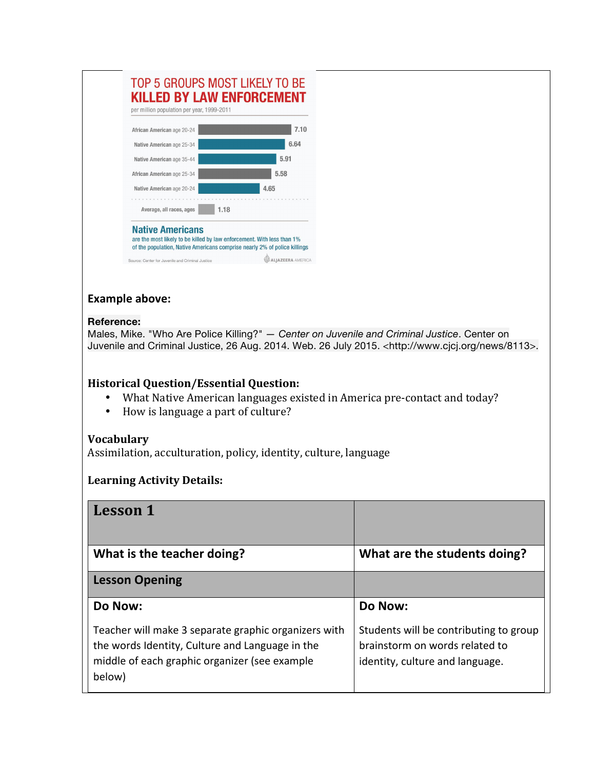### TOP 5 GROUPS MOST LIKELY TO BE **KILLED BY LAW ENFORCEMENT**



### **Example above:**

#### **Reference:**

Males, Mike. "Who Are Police Killing?" *— Center on Juvenile and Criminal Justice*. Center on Juvenile and Criminal Justice, 26 Aug. 2014. Web. 26 July 2015. <http://www.cjcj.org/news/8113>.

#### **Historical Question/Essential Question:**

- What Native American languages existed in America pre-contact and today?
- How is language a part of culture?

#### **Vocabulary**

Assimilation, acculturation, policy, identity, culture, language

## **Learning Activity Details:**

| <b>Lesson 1</b>                                                                                                                                                    |                                                                                                             |
|--------------------------------------------------------------------------------------------------------------------------------------------------------------------|-------------------------------------------------------------------------------------------------------------|
| What is the teacher doing?                                                                                                                                         | What are the students doing?                                                                                |
| <b>Lesson Opening</b>                                                                                                                                              |                                                                                                             |
| Do Now:                                                                                                                                                            | Do Now:                                                                                                     |
| Teacher will make 3 separate graphic organizers with<br>the words Identity, Culture and Language in the<br>middle of each graphic organizer (see example<br>below) | Students will be contributing to group<br>brainstorm on words related to<br>identity, culture and language. |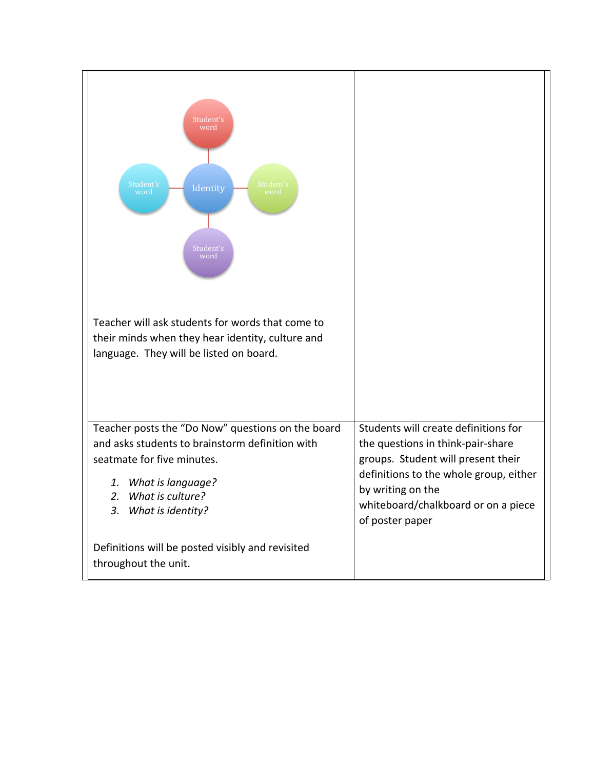| Student's<br>word<br>Student's<br>Student's<br>Identity<br>word<br>word<br>Student's<br>word<br>Teacher will ask students for words that come to<br>their minds when they hear identity, culture and<br>language. They will be listed on board. |                                                                                                                                                                                                                                          |
|-------------------------------------------------------------------------------------------------------------------------------------------------------------------------------------------------------------------------------------------------|------------------------------------------------------------------------------------------------------------------------------------------------------------------------------------------------------------------------------------------|
| Teacher posts the "Do Now" questions on the board<br>and asks students to brainstorm definition with<br>seatmate for five minutes.<br>1. What is language?<br>2. What is culture?<br>3. What is identity?                                       | Students will create definitions for<br>the questions in think-pair-share<br>groups. Student will present their<br>definitions to the whole group, either<br>by writing on the<br>whiteboard/chalkboard or on a piece<br>of poster paper |
| Definitions will be posted visibly and revisited<br>throughout the unit.                                                                                                                                                                        |                                                                                                                                                                                                                                          |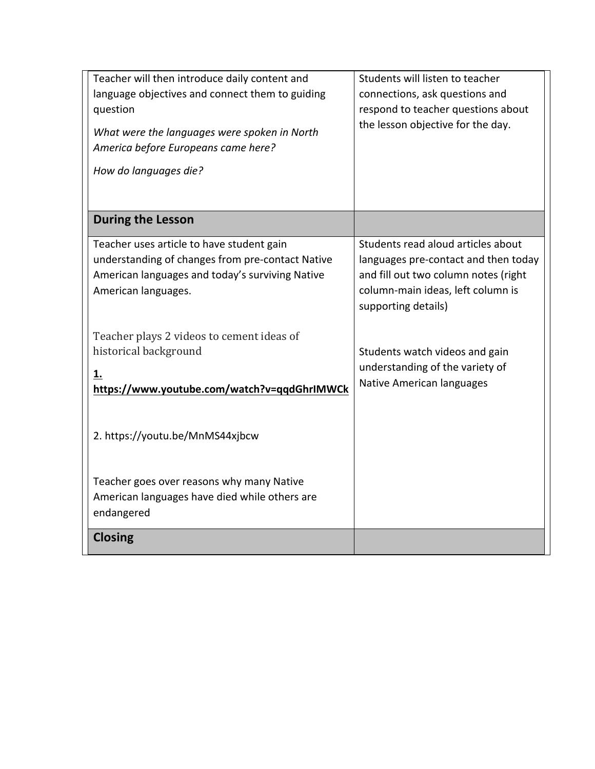| Teacher will then introduce daily content and<br>language objectives and connect them to guiding<br>question<br>What were the languages were spoken in North<br>America before Europeans came here?<br>How do languages die? | Students will listen to teacher<br>connections, ask questions and<br>respond to teacher questions about<br>the lesson objective for the day.                                   |
|------------------------------------------------------------------------------------------------------------------------------------------------------------------------------------------------------------------------------|--------------------------------------------------------------------------------------------------------------------------------------------------------------------------------|
| <b>During the Lesson</b>                                                                                                                                                                                                     |                                                                                                                                                                                |
| Teacher uses article to have student gain<br>understanding of changes from pre-contact Native<br>American languages and today's surviving Native<br>American languages.                                                      | Students read aloud articles about<br>languages pre-contact and then today<br>and fill out two column notes (right<br>column-main ideas, left column is<br>supporting details) |
| Teacher plays 2 videos to cement ideas of<br>historical background<br>1.<br>https://www.youtube.com/watch?v=qqdGhrIMWCk                                                                                                      | Students watch videos and gain<br>understanding of the variety of<br>Native American languages                                                                                 |
| 2. https://youtu.be/MnMS44xjbcw                                                                                                                                                                                              |                                                                                                                                                                                |
| Teacher goes over reasons why many Native<br>American languages have died while others are<br>endangered                                                                                                                     |                                                                                                                                                                                |
| <b>Closing</b>                                                                                                                                                                                                               |                                                                                                                                                                                |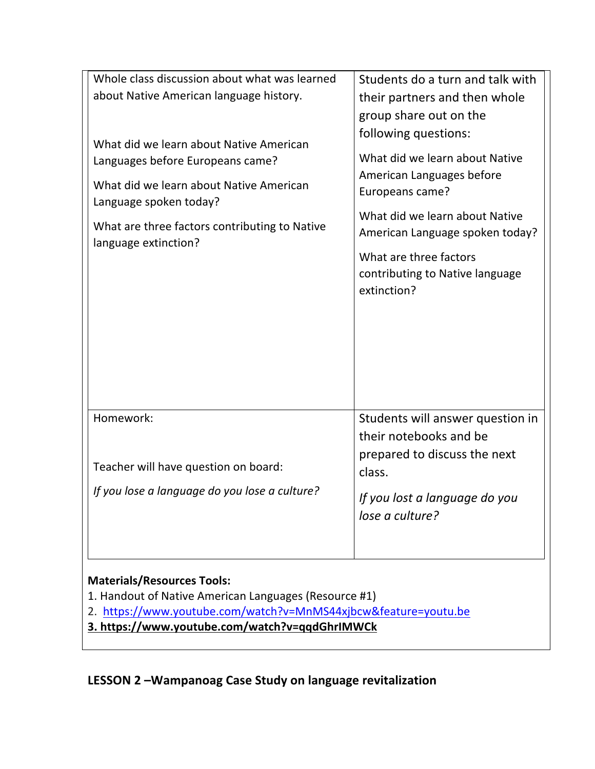| Whole class discussion about what was learned                               | Students do a turn and talk with                                         |
|-----------------------------------------------------------------------------|--------------------------------------------------------------------------|
| about Native American language history.                                     | their partners and then whole                                            |
|                                                                             | group share out on the                                                   |
| What did we learn about Native American<br>Languages before Europeans came? | following questions:<br>What did we learn about Native                   |
| What did we learn about Native American<br>Language spoken today?           | American Languages before<br>Europeans came?                             |
| What are three factors contributing to Native<br>language extinction?       | What did we learn about Native<br>American Language spoken today?        |
|                                                                             | What are three factors<br>contributing to Native language<br>extinction? |
|                                                                             |                                                                          |
| Homework:                                                                   | Students will answer question in<br>their notebooks and be               |
| Teacher will have question on board:                                        | prepared to discuss the next<br>class.                                   |
| If you lose a language do you lose a culture?                               | If you lost a language do you<br>lose a culture?                         |
| <b>Materials/Resources Tools:</b>                                           |                                                                          |

1. Handout of Native American Languages (Resource #1)

2. https://www.youtube.com/watch?v=MnMS44xjbcw&feature=youtu.be

**3.'https://www.youtube.com/watch?v=qqdGhrIMWCk**

LESSON 2 - Wampanoag Case Study on language revitalization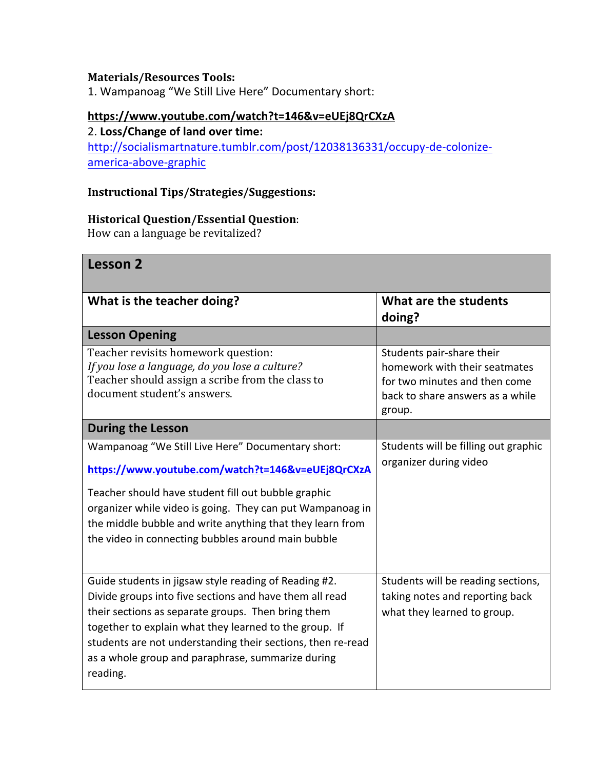## **Materials/Resources Tools:**

1. Wampanoag "We Still Live Here" Documentary short:

#### **https://www.youtube.com/watch?t=146&v=eUEj8QrCXzA**

## 2. Loss/Change of land over time:

http://socialismartnature.tumblr.com/post/12038136331/occupy-de-colonizeamerica-above-graphic

## **Instructional\*Tips/Strategies/Suggestions:**

#### **Historical Question/Essential Question:**

How can a language be revitalized?

# Lesson<sub>2</sub>

| What is the teacher doing?                                                                                                                                                                                                                                                                                                                                       | What are the students                                                                                                                     |
|------------------------------------------------------------------------------------------------------------------------------------------------------------------------------------------------------------------------------------------------------------------------------------------------------------------------------------------------------------------|-------------------------------------------------------------------------------------------------------------------------------------------|
|                                                                                                                                                                                                                                                                                                                                                                  | doing?                                                                                                                                    |
| <b>Lesson Opening</b>                                                                                                                                                                                                                                                                                                                                            |                                                                                                                                           |
| Teacher revisits homework question:<br>If you lose a language, do you lose a culture?<br>Teacher should assign a scribe from the class to<br>document student's answers.                                                                                                                                                                                         | Students pair-share their<br>homework with their seatmates<br>for two minutes and then come<br>back to share answers as a while<br>group. |
| <b>During the Lesson</b>                                                                                                                                                                                                                                                                                                                                         |                                                                                                                                           |
| Wampanoag "We Still Live Here" Documentary short:<br>https://www.youtube.com/watch?t=146&v=eUEj8QrCXzA<br>Teacher should have student fill out bubble graphic<br>organizer while video is going. They can put Wampanoag in<br>the middle bubble and write anything that they learn from<br>the video in connecting bubbles around main bubble                    | Students will be filling out graphic<br>organizer during video                                                                            |
| Guide students in jigsaw style reading of Reading #2.<br>Divide groups into five sections and have them all read<br>their sections as separate groups. Then bring them<br>together to explain what they learned to the group. If<br>students are not understanding their sections, then re-read<br>as a whole group and paraphrase, summarize during<br>reading. | Students will be reading sections,<br>taking notes and reporting back<br>what they learned to group.                                      |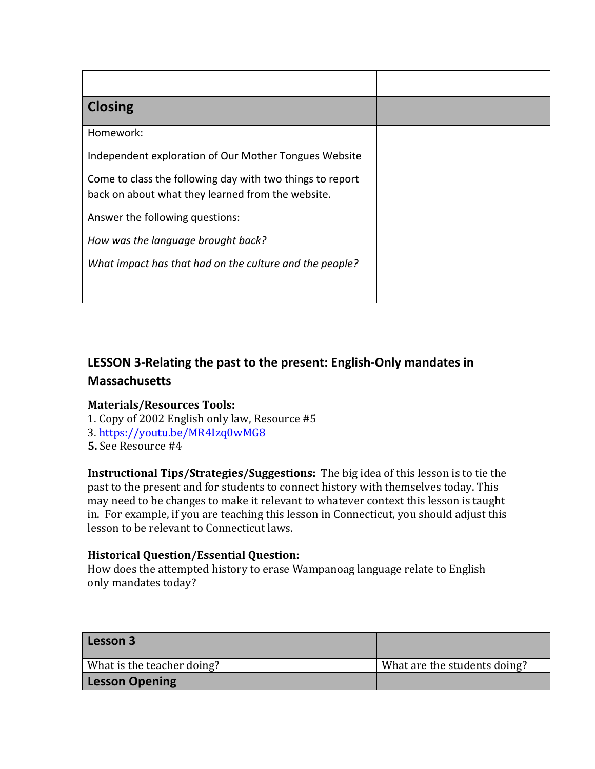| <b>Closing</b>                                                                                                 |  |
|----------------------------------------------------------------------------------------------------------------|--|
| Homework:                                                                                                      |  |
| Independent exploration of Our Mother Tongues Website                                                          |  |
| Come to class the following day with two things to report<br>back on about what they learned from the website. |  |
| Answer the following questions:                                                                                |  |
| How was the language brought back?                                                                             |  |
| What impact has that had on the culture and the people?                                                        |  |
|                                                                                                                |  |

# LESSON 3-Relating the past to the present: English-Only mandates in **Massachusetts**

#### **Materials/Resources\*Tools:**

- 1. Copy of 2002 English only law, Resource  $#5$
- 3.%https://youtu.be/MR4Izq0wMG8%%%%%
- **5.** See Resource #4

**Instructional Tips/Strategies/Suggestions:** The big idea of this lesson is to tie the past to the present and for students to connect history with themselves today. This may need to be changes to make it relevant to whatever context this lesson is taught in. For example, if you are teaching this lesson in Connecticut, you should adjust this lesson to be relevant to Connecticut laws.

## **Historical Question/Essential Question:**

How does the attempted history to erase Wampanoag language relate to English only mandates today?

| Lesson 3                   |                              |
|----------------------------|------------------------------|
| What is the teacher doing? | What are the students doing? |
| <b>Lesson Opening</b>      |                              |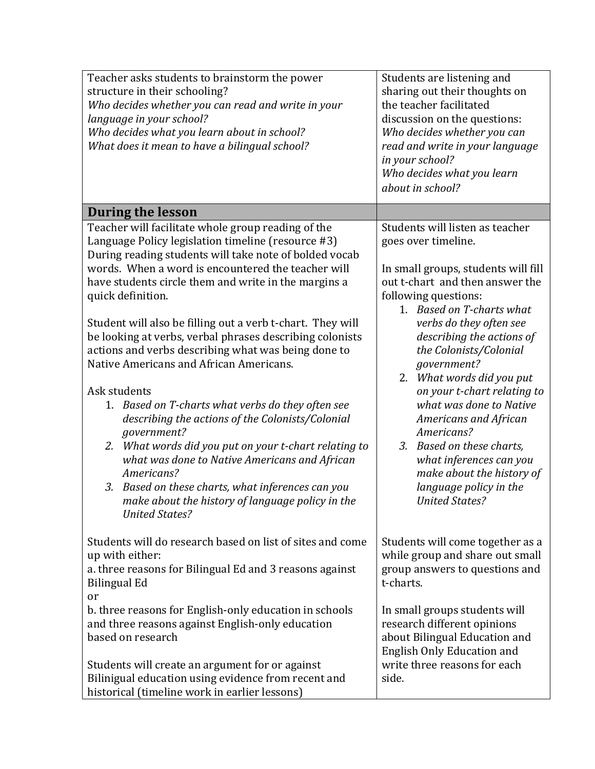| Teacher asks students to brainstorm the power<br>structure in their schooling?<br>Who decides whether you can read and write in your<br>language in your school?<br>Who decides what you learn about in school?<br>What does it mean to have a bilingual school? | Students are listening and<br>sharing out their thoughts on<br>the teacher facilitated<br>discussion on the questions:<br>Who decides whether you can<br>read and write in your language<br>in your school?<br>Who decides what you learn<br>about in school? |
|------------------------------------------------------------------------------------------------------------------------------------------------------------------------------------------------------------------------------------------------------------------|---------------------------------------------------------------------------------------------------------------------------------------------------------------------------------------------------------------------------------------------------------------|
| <b>During the lesson</b>                                                                                                                                                                                                                                         |                                                                                                                                                                                                                                                               |
| Teacher will facilitate whole group reading of the                                                                                                                                                                                                               | Students will listen as teacher                                                                                                                                                                                                                               |
| Language Policy legislation timeline (resource #3)<br>During reading students will take note of bolded vocab                                                                                                                                                     | goes over timeline.                                                                                                                                                                                                                                           |
| words. When a word is encountered the teacher will                                                                                                                                                                                                               | In small groups, students will fill                                                                                                                                                                                                                           |
| have students circle them and write in the margins a                                                                                                                                                                                                             | out t-chart and then answer the                                                                                                                                                                                                                               |
| quick definition.                                                                                                                                                                                                                                                | following questions:                                                                                                                                                                                                                                          |
|                                                                                                                                                                                                                                                                  | 1. Based on T-charts what                                                                                                                                                                                                                                     |
| Student will also be filling out a verb t-chart. They will                                                                                                                                                                                                       | verbs do they often see                                                                                                                                                                                                                                       |
| be looking at verbs, verbal phrases describing colonists<br>actions and verbs describing what was being done to                                                                                                                                                  | describing the actions of<br>the Colonists/Colonial                                                                                                                                                                                                           |
| Native Americans and African Americans.                                                                                                                                                                                                                          | government?                                                                                                                                                                                                                                                   |
|                                                                                                                                                                                                                                                                  | 2. What words did you put                                                                                                                                                                                                                                     |
| Ask students                                                                                                                                                                                                                                                     | on your t-chart relating to                                                                                                                                                                                                                                   |
| 1. Based on T-charts what verbs do they often see                                                                                                                                                                                                                | what was done to Native                                                                                                                                                                                                                                       |
| describing the actions of the Colonists/Colonial                                                                                                                                                                                                                 | Americans and African                                                                                                                                                                                                                                         |
| government?<br>What words did you put on your t-chart relating to<br>2.                                                                                                                                                                                          | Americans?<br>3. Based on these charts,                                                                                                                                                                                                                       |
| what was done to Native Americans and African                                                                                                                                                                                                                    | what inferences can you                                                                                                                                                                                                                                       |
| Americans?                                                                                                                                                                                                                                                       | make about the history of                                                                                                                                                                                                                                     |
| Based on these charts, what inferences can you<br>3.                                                                                                                                                                                                             | language policy in the                                                                                                                                                                                                                                        |
| make about the history of language policy in the                                                                                                                                                                                                                 | <b>United States?</b>                                                                                                                                                                                                                                         |
| <b>United States?</b>                                                                                                                                                                                                                                            |                                                                                                                                                                                                                                                               |
| Students will do research based on list of sites and come                                                                                                                                                                                                        | Students will come together as a                                                                                                                                                                                                                              |
| up with either:                                                                                                                                                                                                                                                  | while group and share out small                                                                                                                                                                                                                               |
| a. three reasons for Bilingual Ed and 3 reasons against                                                                                                                                                                                                          | group answers to questions and                                                                                                                                                                                                                                |
| <b>Bilingual Ed</b>                                                                                                                                                                                                                                              | t-charts.                                                                                                                                                                                                                                                     |
| or                                                                                                                                                                                                                                                               |                                                                                                                                                                                                                                                               |
| b. three reasons for English-only education in schools<br>and three reasons against English-only education                                                                                                                                                       | In small groups students will<br>research different opinions                                                                                                                                                                                                  |
| based on research                                                                                                                                                                                                                                                | about Bilingual Education and                                                                                                                                                                                                                                 |
|                                                                                                                                                                                                                                                                  | English Only Education and                                                                                                                                                                                                                                    |
| Students will create an argument for or against                                                                                                                                                                                                                  | write three reasons for each                                                                                                                                                                                                                                  |
| Bilinigual education using evidence from recent and                                                                                                                                                                                                              | side.                                                                                                                                                                                                                                                         |
| historical (timeline work in earlier lessons)                                                                                                                                                                                                                    |                                                                                                                                                                                                                                                               |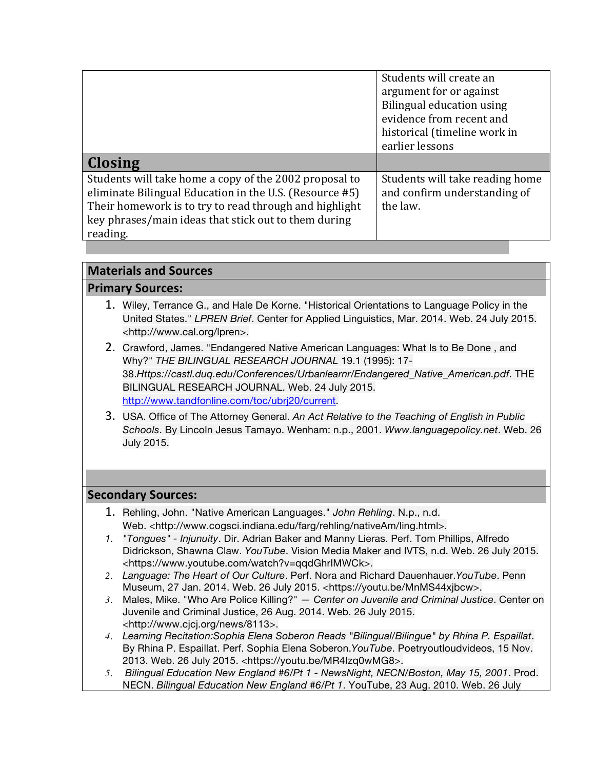|                                                         | Students will create an         |
|---------------------------------------------------------|---------------------------------|
|                                                         | argument for or against         |
|                                                         | Bilingual education using       |
|                                                         | evidence from recent and        |
|                                                         | historical (timeline work in    |
|                                                         | earlier lessons                 |
| <b>Closing</b>                                          |                                 |
| Students will take home a copy of the 2002 proposal to  | Students will take reading home |
| eliminate Bilingual Education in the U.S. (Resource #5) | and confirm understanding of    |
| Their homework is to try to read through and highlight  | the law.                        |
| key phrases/main ideas that stick out to them during    |                                 |
| reading.                                                |                                 |

## **Materials'and'Sources**

### **Primary Sources:**

- 1. Wiley, Terrance G., and Hale De Korne. "Historical Orientations to Language Policy in the United States." *LPREN Brief*. Center for Applied Linguistics, Mar. 2014. Web. 24 July 2015. <http://www.cal.org/lpren>.
- 2. Crawford, James. "Endangered Native American Languages: What Is to Be Done , and Why?" *THE BILINGUAL RESEARCH JOURNAL* 19.1 (1995): 17- 38.*Https://castl.duq.edu/Conferences/Urbanlearnr/Endangered\_Native\_American.pdf*. THE BILINGUAL RESEARCH JOURNAL. Web. 24 July 2015. http://www.tandfonline.com/toc/ubrj20/current.
- 3. USA. Office of The Attorney General. *An Act Relative to the Teaching of English in Public Schools*. By Lincoln Jesus Tamayo. Wenham: n.p., 2001. *Www.languagepolicy.net*. Web. 26 July 2015.

## **Secondary'Sources:**

- 1. Rehling, John. "Native American Languages." *John Rehling*. N.p., n.d. Web. <http://www.cogsci.indiana.edu/farg/rehling/nativeAm/ling.html>.
- *1. "Tongues" - Injunuity*. Dir. Adrian Baker and Manny Lieras. Perf. Tom Phillips, Alfredo Didrickson, Shawna Claw. *YouTube*. Vision Media Maker and IVTS, n.d. Web. 26 July 2015. <https://www.youtube.com/watch?v=qqdGhrIMWCk>.
- *2. Language: The Heart of Our Culture*. Perf. Nora and Richard Dauenhauer.*YouTube*. Penn Museum, 27 Jan. 2014. Web. 26 July 2015. <https://youtu.be/MnMS44xjbcw>.
- *3.* Males, Mike. "Who Are Police Killing?" *— Center on Juvenile and Criminal Justice*. Center on Juvenile and Criminal Justice, 26 Aug. 2014. Web. 26 July 2015. <http://www.cjcj.org/news/8113>.
- *4. Learning Recitation:Sophia Elena Soberon Reads "Bilingual/Bilingue" by Rhina P. Espaillat*. By Rhina P. Espaillat. Perf. Sophia Elena Soberon.*YouTube*. Poetryoutloudvideos, 15 Nov. 2013. Web. 26 July 2015. <https://youtu.be/MR4Izq0wMG8>.
- *5. Bilingual Education New England #6/Pt 1 - NewsNight, NECN/Boston, May 15, 2001*. Prod. NECN. *Bilingual Education New England #6/Pt 1*. YouTube, 23 Aug. 2010. Web. 26 July